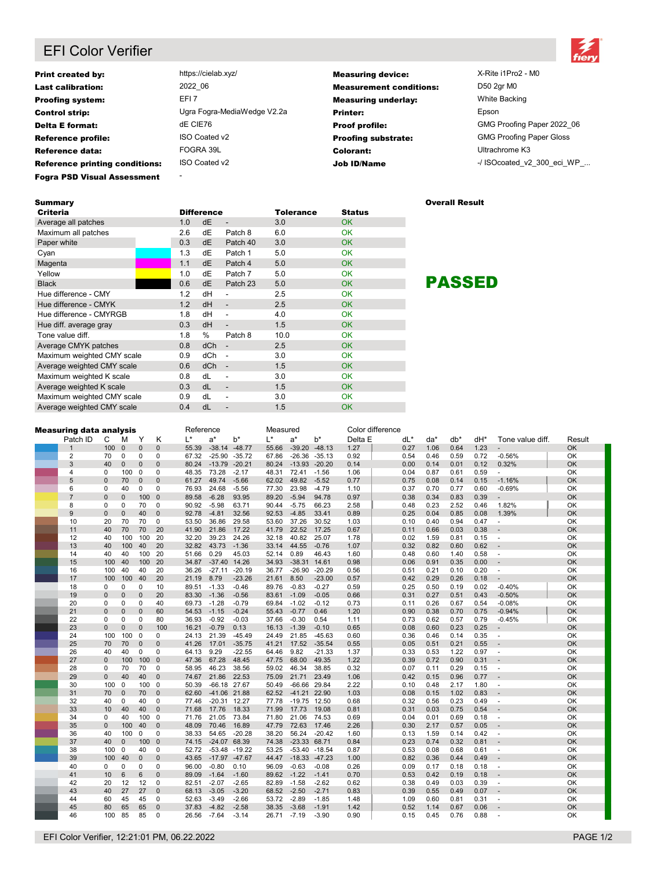# EFI Color Verifier



| <b>Print created by:</b>              | https://cielab.xyz/         | <b>Measuring device:</b>       | X-Rite i1Pro2 - M0              |
|---------------------------------------|-----------------------------|--------------------------------|---------------------------------|
| <b>Last calibration:</b>              | 2022 06                     | <b>Measurement conditions:</b> | D50 2qr M0                      |
| <b>Proofing system:</b>               | EFI <sub>7</sub>            | <b>Measuring underlay:</b>     | White Backing                   |
| <b>Control strip:</b>                 | Ugra Fogra-MediaWedge V2.2a | <b>Printer:</b>                | Epson                           |
| <b>Delta E format:</b>                | dE CIE76                    | <b>Proof profile:</b>          | GMG Proofing Paper 2022 06      |
| <b>Reference profile:</b>             | ISO Coated v2               | <b>Proofing substrate:</b>     | <b>GMG Proofing Paper Gloss</b> |
| Reference data:                       | FOGRA 39L                   | Colorant:                      | Ultrachrome K3                  |
| <b>Reference printing conditions:</b> | ISO Coated v2               | <b>Job ID/Name</b>             | -/ ISOcoated v2 300 eci WP      |
| <b>Fogra PSD Visual Assessment</b>    | $\overline{\phantom{a}}$    |                                |                                 |

| Summary                    |     |                   |                          |                  |               | <b>Overall Result</b> |
|----------------------------|-----|-------------------|--------------------------|------------------|---------------|-----------------------|
| <b>Criteria</b>            |     | <b>Difference</b> |                          | <b>Tolerance</b> | <b>Status</b> |                       |
| Average all patches        | 1.0 | dE                | $\overline{\phantom{a}}$ | 3.0              | <b>OK</b>     |                       |
| Maximum all patches        | 2.6 | dE                | Patch 8                  | 6.0              | <b>OK</b>     |                       |
| Paper white                | 0.3 | dE                | Patch 40                 | 3.0              | <b>OK</b>     |                       |
| Cyan                       | 1.3 | dE                | Patch 1                  | 5.0              | OK            |                       |
| Magenta                    | 1.1 | dE                | Patch 4                  | 5.0              | <b>OK</b>     |                       |
| Yellow                     | 1.0 | dE                | Patch 7                  | 5.0              | <b>OK</b>     |                       |
| <b>Black</b>               | 0.6 | dE                | Patch 23                 | 5.0              | <b>OK</b>     | <b>PASSE</b>          |
| Hue difference - CMY       | 1.2 | dH                | $\overline{\phantom{a}}$ | 2.5              | <b>OK</b>     |                       |
| Hue difference - CMYK      | 1.2 | dH                | $\overline{\phantom{0}}$ | 2.5              | OK            |                       |
| Hue difference - CMYRGB    | 1.8 | dH                | $\overline{\phantom{a}}$ | 4.0              | <b>OK</b>     |                       |
| Hue diff. average gray     | 0.3 | dH                | $\overline{\phantom{0}}$ | 1.5              | <b>OK</b>     |                       |
| Tone value diff.           | 1.8 | %                 | Patch 8                  | 10.0             | <b>OK</b>     |                       |
| Average CMYK patches       | 0.8 | dCh               | $\overline{\phantom{a}}$ | 2.5              | <b>OK</b>     |                       |
| Maximum weighted CMY scale | 0.9 | dCh               | $\overline{\phantom{a}}$ | 3.0              | <b>OK</b>     |                       |
| Average weighted CMY scale | 0.6 | dCh               | $\overline{\phantom{a}}$ | 1.5              | <b>OK</b>     |                       |
| Maximum weighted K scale   | 0.8 | dL                | $\overline{\phantom{a}}$ | 3.0              | <b>OK</b>     |                       |
| Average weighted K scale   | 0.3 | dL                | $\overline{\phantom{a}}$ | 1.5              | <b>OK</b>     |                       |
| Maximum weighted CMY scale | 0.9 | dL                | $\overline{\phantom{a}}$ | 3.0              | <b>OK</b>     |                       |
| Average weighted CMY scale | 0.4 | dL                | $\overline{\phantom{0}}$ | 1.5              | <b>OK</b>     |                       |

PASSED

| <b>Measuring data analysis</b> |                |              | Reference    |              |              | Measured |                  |          | Color difference |                  |          |         |     |      |      |      |      |                          |           |
|--------------------------------|----------------|--------------|--------------|--------------|--------------|----------|------------------|----------|------------------|------------------|----------|---------|-----|------|------|------|------|--------------------------|-----------|
|                                | Patch ID       | С            | м            | Y            | Κ            | $L^*$    | $a^*$            | b*       | L*               | $a^*$            | $b^*$    | Delta E | dL* |      | da*  | db*  | dH*  | Tone value diff.         | Result    |
|                                |                | 100          | $\mathbf{0}$ | $\Omega$     | $\mathbf{0}$ | 55.39    | $-38.14 - 48.77$ |          | 55.66            | $-39.20$         | $-48.13$ | 1.27    |     | 0.27 | 1.06 | 0.64 | 1.23 |                          | OK        |
|                                | $\overline{2}$ | 70           | $\mathbf 0$  | $\mathbf 0$  | 0            | 67.32    | $-25.90$         | $-35.72$ | 67.86            | $-26.36$         | $-35.13$ | 0.92    |     | 0.54 | 0.46 | 0.59 | 0.72 | $-0.56%$                 | OK        |
|                                | 3              | 40           | $\mathbf{0}$ | $\Omega$     | $\mathbf 0$  | 80.24    | $-13.79 -20.21$  |          | 80.24            | $-13.93$         | $-20.20$ | 0.14    |     | 0.00 | 0.14 | 0.01 | 0.12 | 0.32%                    | OK        |
|                                | 4              | $\Omega$     | 100          | $\mathbf 0$  | 0            | 48.35    | 73.28            | $-2.17$  | 48.31            | 72.41            | $-1.56$  | 1.06    |     | 0.04 | 0.87 | 0.61 | 0.59 |                          | OK        |
|                                | 5              | $\mathbf 0$  | 70           | $\mathbf{0}$ | $\mathbf 0$  | 61.27    | 49.74            | $-5.66$  | 62.02            | 49.82            | $-5.52$  | 0.77    |     | 0.75 | 0.08 | 0.14 | 0.15 | $-1.16%$                 | OK        |
|                                | 6              | $\Omega$     | 40           | 0            | 0            | 76.93    | 24.68            | $-5.56$  | 77.30            | 23.98            | $-4.79$  | 1.10    |     | 0.37 | 0.70 | 0.77 | 0.60 | $-0.69%$                 | OK        |
|                                | $\overline{7}$ | $\mathbf 0$  | $\mathbf{0}$ | 100          | $\Omega$     | 89.58    | $-6.28$          | 93.95    | 89.20            | $-5.94$          | 94.78    | 0.97    |     | 0.38 | 0.34 | 0.83 | 0.39 |                          | OK        |
|                                | 8              | 0            | $\mathbf 0$  | 70           | 0            | 90.92    | $-5.98$          | 63.71    | 90.44            | $-5.75$          | 66.23    | 2.58    |     | 0.48 | 0.23 | 2.52 | 0.46 | 1.82%                    | OK        |
|                                | 9              | $\mathbf{0}$ | $\mathbf{0}$ | 40           | $\mathbf 0$  | 92.78    | $-4.81$          | 32.56    | 92.53            | $-4.85$          | 33.41    | 0.89    |     | 0.25 | 0.04 | 0.85 | 0.08 | 1.39%                    | OK        |
|                                | 10             | 20           | 70           | 70           | 0            | 53.50    | 36.86            | 29.58    | 53.60            | 37.26            | 30.52    | 1.03    |     | 0.10 | 0.40 | 0.94 | 0.47 | $\sim$                   | OK        |
|                                | 11             | 40           | 70           | 70           | 20           | 41.90    | 21.86            | 17.22    | 41.79            | 22.52            | 17.25    | 0.67    |     | 0.11 | 0.66 | 0.03 | 0.38 |                          | OK        |
|                                | 12             | 40           | 100          | 100          | 20           | 32.20    | 39.23            | 24.26    | 32.18            | 40.82            | 25.07    | 1.78    |     | 0.02 | 1.59 | 0.81 | 0.15 | $\sim$                   | OK        |
|                                | 13             | 40           | 100          | 40           | 20           | 32.82    | 43.73            | $-1.36$  | 33.14            | 44.55            | $-0.76$  | 1.07    |     | 0.32 | 0.82 | 0.60 | 0.62 |                          | <b>OK</b> |
|                                | 14             | 40           | 40           | 100          | 20           | 51.66    | 0.29             | 45.03    | 52.14            | 0.89             | 46.43    | 1.60    |     | 0.48 | 0.60 | 1.40 | 0.58 | ÷.                       | OK        |
|                                | 15             | 100          | 40           | 100          | 20           | 34.87    | $-37.40$ 14.26   |          | 34.93            | $-38.31$ 14.61   |          | 0.98    |     | 0.06 | 0.91 | 0.35 | 0.00 | $\overline{\phantom{a}}$ | OK        |
|                                | 16             | 100          | 40           | 40           | 20           | 36.26    | $-27.11$         | $-20.19$ | 36.77            | $-26.90$         | $-20.29$ | 0.56    |     | 0.51 | 0.21 | 0.10 | 0.20 | $\sim$                   | OK        |
|                                | 17             | 100          | 100          | 40           | 20           | 21.19    | 8.79             | $-23.26$ | 21.61            | 8.50             | $-23.00$ | 0.57    |     | 0.42 | 0.29 | 0.26 | 0.18 |                          | OK        |
|                                | 18             | 0            | $\mathbf 0$  | $\mathbf 0$  | 10           | 89.51    | $-1.33$          | $-0.46$  | 89.76            | $-0.83$          | $-0.27$  | 0.59    |     | 0.25 | 0.50 | 0.19 | 0.02 | $-0.40%$                 | OK        |
|                                | 19             | $\mathbf 0$  | $\mathbf 0$  | 0            | 20           | 83.30    | $-1.36$          | $-0.56$  | 83.61            | $-1.09$          | $-0.05$  | 0.66    |     | 0.31 | 0.27 | 0.51 | 0.43 | $-0.50%$                 | OK        |
|                                | 20             | 0            | $\mathbf 0$  | 0            | 40           | 69.73    | $-1.28$          | $-0.79$  | 69.84            | $-1.02$          | $-0.12$  | 0.73    |     | 0.11 | 0.26 | 0.67 | 0.54 | $-0.08%$                 | OK        |
|                                | 21             | $\mathbf 0$  | $\mathbf{0}$ | $\mathbf{0}$ | 60           | 54.53    | $-1.15$          | $-0.24$  | 55.43            | $-0.77$          | 0.46     | 1.20    |     | 0.90 | 0.38 | 0.70 | 0.75 | $-0.94%$                 | OK        |
|                                | 22             | 0            | $\mathbf 0$  | 0            | 80           | 36.93    | $-0.92$          | $-0.03$  | 37.66            | $-0.30$          | 0.54     | 1.11    |     | 0.73 | 0.62 | 0.57 | 0.79 | $-0.45%$                 | OK        |
|                                | 23             | $\mathbf{0}$ | $\Omega$     | $\Omega$     | 100          | 16.21    | $-0.79$          | 0.13     | 16.13            | $-1.39$          | $-0.10$  | 0.65    |     | 0.08 | 0.60 | 0.23 | 0.25 | $\overline{a}$           | OK        |
|                                | 24             | 100          | 100          | 0            | 0            | 24.13    | 21.39            | $-45.49$ | 24.49            | 21.85            | $-45.63$ | 0.60    |     | 0.36 | 0.46 | 0.14 | 0.35 | $\overline{\phantom{a}}$ | OK        |
|                                | 25             | 70           | 70           | $\Omega$     | $\Omega$     | 41.26    | 17.01            | $-35.75$ | 41.21            | 17.52            | $-35.54$ | 0.55    |     | 0.05 | 0.51 | 0.21 | 0.55 |                          | OK        |
|                                | 26             | 40           | 40           | $\mathbf 0$  | $\mathbf 0$  | 64.13    | 9.29             | $-22.55$ | 64.46            | 9.82             | $-21.33$ | 1.37    |     | 0.33 | 0.53 | 1.22 | 0.97 | $\sim$                   | OK        |
|                                | 27             | $\mathbf 0$  | 100          | 100          | $\Omega$     | 47.36    | 67.28            | 48.45    | 47.75            | 68.00            | 49.35    | 1.22    |     | 0.39 | 0.72 | 0.90 | 0.31 |                          | OK        |
|                                | 28             | $\Omega$     | 70           | 70           | $\mathbf 0$  | 58.95    | 46.23            | 38.56    | 59.02            | 46.34            | 38.85    | 0.32    |     | 0.07 | 0.11 | 0.29 | 0.15 | $\sim$                   | OK        |
|                                | 29             | $\mathbf 0$  | 40           | 40           | $\mathbf 0$  | 74.67    | 21.86            | 22.53    | 75.09            | 21.71            | 23.49    | 1.06    |     | 0.42 | 0.15 | 0.96 | 0.77 | $\overline{\phantom{a}}$ | OK        |
|                                | 30             | 100          | $\mathbf 0$  | 100          | $\mathbf 0$  | 50.39    | -66.18 27.67     |          | 50.49            | -66.66 29.84     |          | 2.22    |     | 0.10 | 0.48 | 2.17 | 1.80 | ÷.                       | OK        |
|                                | 31             | 70           | $\Omega$     | 70           | $\Omega$     | 62.60    | -41.06 21.88     |          | 62.52            | $-41.21$ 22.90   |          | 1.03    |     | 0.08 | 0.15 | 1.02 | 0.83 |                          | OK        |
|                                | 32             | 40           | $\mathbf 0$  | 40           | 0            | 77.46    | $-20.31$ 12.27   |          | 77.78            | $-19.75$ 12.50   |          | 0.68    |     | 0.32 | 0.56 | 0.23 | 0.49 | $\sim$                   | OK        |
|                                | 33             | 10           | 40           | 40           | $\Omega$     | 71.68    | 17.76            | 18.33    | 71.99            | 17.73            | 19.08    | 0.81    |     | 0.31 | 0.03 | 0.75 | 0.54 |                          | OK        |
|                                | 34             | 0            | 40           | 100          | $\mathbf 0$  | 71.76    | 21.05            | 73.84    | 71.80            | 21.06            | 74.53    | 0.69    |     | 0.04 | 0.01 | 0.69 | 0.18 | $\overline{\phantom{a}}$ | OK        |
|                                | 35             | $\mathbf{0}$ | 100          | 40           | $\mathbf 0$  | 48.09    | 70.46            | 16.89    | 47.79            | 72.63            | 17.46    | 2.26    |     | 0.30 | 2.17 | 0.57 | 0.05 |                          | OK        |
|                                | 36             | 40           | 100          | $\Omega$     | 0            | 38.33    | 54.65            | $-20.28$ | 38.20            | 56.24            | $-20.42$ | 1.60    |     | 0.13 | 1.59 | 0.14 | 0.42 | $\overline{\phantom{a}}$ | OK        |
|                                | 37             | 40           | $\Omega$     | 100          | $\mathbf 0$  | 74.15    | $-24.07$         | 68.39    | 74.38            | $-23.33$ 68.71   |          | 0.84    |     | 0.23 | 0.74 | 0.32 | 0.81 | ÷                        | OK        |
|                                | 38             | 100          | $\mathbf 0$  | 40           | 0            | 52.72    | $-53.48 - 19.22$ |          | 53.25            | $-53.40 - 18.54$ |          | 0.87    |     | 0.53 | 0.08 | 0.68 | 0.61 | $\sim$                   | OK        |
|                                | 39             | 100          | 40           | $\Omega$     | $\mathbf 0$  | 43.65    | -17.97 -47.67    |          | 44.47            | $-18.33 - 47.23$ |          | 1.00    |     | 0.82 | 0.36 | 0.44 | 0.49 | $\sim$                   | OK        |
|                                | 40             | $\Omega$     | 0            | 0            | 0            | 96.00    | $-0.80$          | 0.10     | 96.09            | $-0.63$          | $-0.08$  | 0.26    |     | 0.09 | 0.17 | 0.18 | 0.18 | $\overline{\phantom{a}}$ | OK        |
|                                | 41             | 10           | 6            | 6            | $\Omega$     | 89.09    | $-1.64$          | $-1.60$  | 89.62            | $-1.22$          | $-1.41$  | 0.70    |     | 0.53 | 0.42 | 0.19 | 0.18 | $\sim$                   | OK        |
|                                | 42             | 20           | 12           | 12           | $\mathbf 0$  | 82.51    | $-2.07$          | $-2.65$  | 82.89            | $-1.58$          | $-2.62$  | 0.62    |     | 0.38 | 0.49 | 0.03 | 0.39 | $\overline{\phantom{a}}$ | OK        |
|                                | 43             | 40           | 27           | 27           | $\mathbf 0$  | 68.13    | $-3.05$          | $-3.20$  | 68.52            | $-2.50$          | $-2.71$  | 0.83    |     | 0.39 | 0.55 | 0.49 | 0.07 |                          | OK        |
|                                | 44             | 60           | 45           | 45           | $\mathbf 0$  | 52.63    | $-3.49$          | $-2.66$  | 53.72            | $-2.89$          | $-1.85$  | 1.48    |     | 1.09 | 0.60 | 0.81 | 0.31 | $\sim$                   | OK        |
|                                | 45             | 80           | 65           | 65           | $\mathbf 0$  | 37.83    | $-4.82$          | $-2.58$  | 38.35            | $-3.68$          | $-1.91$  | 1.42    |     | 0.52 | 1.14 | 0.67 | 0.06 |                          | OK        |
|                                | 46             | 100          | 85           | 85           | $\Omega$     | 26.56    | $-7.64$          | $-3.14$  | 26.71            | $-7.19$          | $-3.90$  | 0.90    |     | 0.15 | 0.45 | 0.76 | 0.88 |                          | OK        |